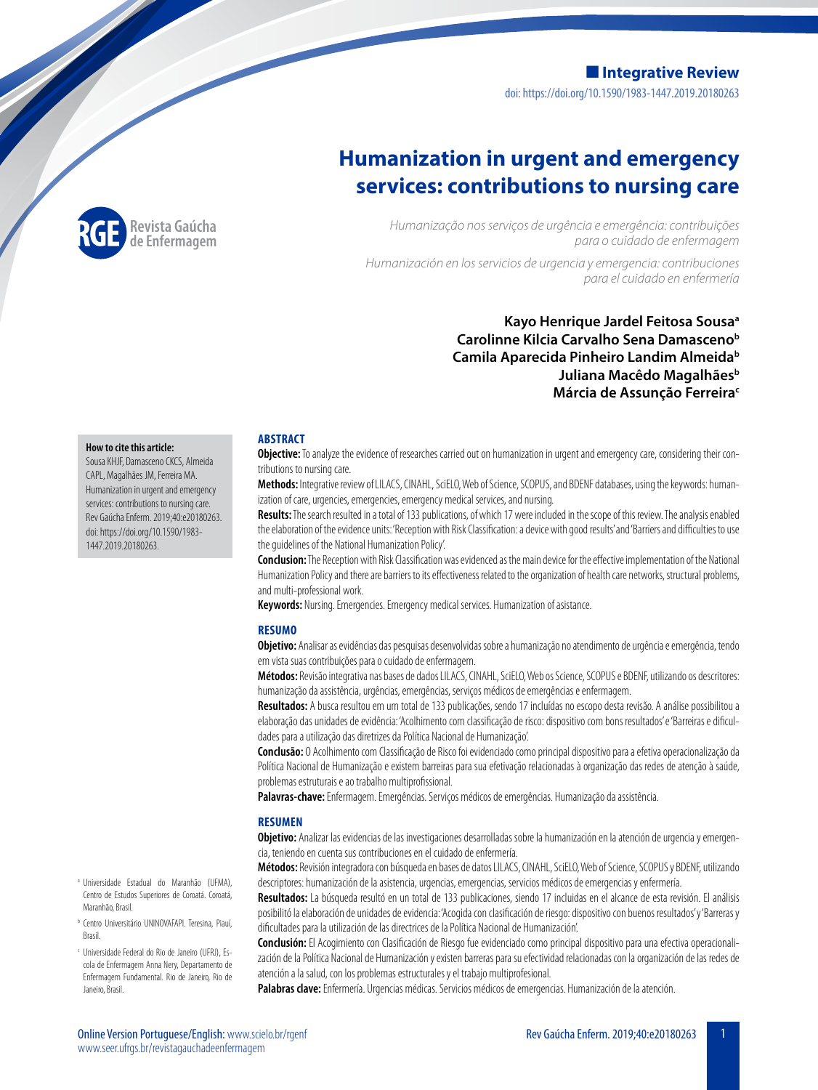# **Integrative Review** doi: https://doi.org/10.1590/1983-1447.2019.20180263

# **Humanization in urgent and emergency services: contributions to nursing care**



*Humanização nos serviços de urgência e emergência: contribuições para o cuidado de enfermagem*

*Humanización en los servicios de urgencia y emergencia: contribuciones para el cuidado en enfermería*

# **Kayo Henrique Jardel Feitosa Sousaa Carolinne Kilcia Carvalho Sena Damascenob Camila Aparecida Pinheiro Landim Almeidab** Juliana Macêdo Magalhães<sup>b</sup> **Márcia de Assunção Ferreirac**

### **How to cite this article:**

Sousa KHJF, Damasceno CKCS, Almeida CAPL, Magalhães JM, Ferreira MA. Humanization in urgent and emergency services: contributions to nursing care. Rev Gaúcha Enferm. 2019;40:e20180263. doi: [https://doi.org/10.1590/1983-](https://doi.org/10.1590/1983-1447.2019.20180263) [1447.2019.20180263.](https://doi.org/10.1590/1983-1447.2019.20180263)

#### **ABSTRACT**

**Objective:** To analyze the evidence of researches carried out on humanization in urgent and emergency care, considering their contributions to nursing care.

**Methods:** Integrative review of LILACS, CINAHL, SciELO, Web of Science, SCOPUS, and BDENF databases, using the keywords: humanization of care, urgencies, emergencies, emergency medical services, and nursing.

**Results:** The search resulted in a total of 133 publications, of which 17 were included in the scope of this review. The analysis enabled the elaboration of the evidence units: 'Reception with Risk Classification: a device with good results' and 'Barriers and difficulties to use the guidelines of the National Humanization Policy'.

**Conclusion:** The Reception with Risk Classification was evidenced as the main device for the effective implementation of the National Humanization Policy and there are barriers to its effectiveness related to the organization of health care networks, structural problems, and multi-professional work.

**Keywords:** Nursing. Emergencies. Emergency medical services. Humanization of asistance.

### **RESUMO**

**Objetivo:** Analisar as evidências das pesquisas desenvolvidas sobre a humanização no atendimento de urgência e emergência, tendo em vista suas contribuições para o cuidado de enfermagem.

**Métodos:** Revisão integrativa nas bases de dados LILACS, CINAHL, SciELO, Web os Science, SCOPUS e BDENF, utilizando os descritores: humanização da assistência, urgências, emergências, serviços médicos de emergências e enfermagem.

**Resultados:** A busca resultou em um total de 133 publicações, sendo 17 incluídas no escopo desta revisão. A análise possibilitou a elaboração das unidades de evidência: 'Acolhimento com classificação de risco: dispositivo com bons resultados' e 'Barreiras e dificuldades para a utilização das diretrizes da Política Nacional de Humanização'.

**Conclusão:** O Acolhimento com Classificação de Risco foi evidenciado como principal dispositivo para a efetiva operacionalização da Política Nacional de Humanização e existem barreiras para sua efetivação relacionadas à organização das redes de atenção à saúde, problemas estruturais e ao trabalho multiprofissional.

**Palavras-chave:** Enfermagem. Emergências. Serviços médicos de emergências. Humanização da assistência.

#### **RESUMEN**

**Objetivo:** Analizar las evidencias de las investigaciones desarrolladas sobre la humanización en la atención de urgencia y emergencia, teniendo en cuenta sus contribuciones en el cuidado de enfermería.

**Métodos:** Revisión integradora con búsqueda en bases de datos LILACS, CINAHL, SciELO, Web of Science, SCOPUS y BDENF, utilizando descriptores: humanización de la asistencia, urgencias, emergencias, servicios médicos de emergencias y enfermería.

**Resultados:** La búsqueda resultó en un total de 133 publicaciones, siendo 17 incluidas en el alcance de esta revisión. El análisis posibilitó la elaboración de unidades de evidencia: 'Acogida con clasificación de riesgo: dispositivo con buenos resultados' y 'Barreras y dificultades para la utilización de las directrices de la Política Nacional de Humanización'.

**Conclusión:** El Acogimiento con Clasificación de Riesgo fue evidenciado como principal dispositivo para una efectiva operacionalización de la Política Nacional de Humanización y existen barreras para su efectividad relacionadas con la organización de las redes de atención a la salud, con los problemas estructurales y el trabajo multiprofesional.

**Palabras clave:** Enfermería. Urgencias médicas. Servicios médicos de emergencias. Humanización de la atención.

- <sup>a</sup> Universidade Estadual do Maranhão (UFMA), Centro de Estudos Superiores de Coroatá. Coroatá, Maranhão, Brasil.
- <sup>b</sup> Centro Universitário UNINOVAFAPI. Teresina, Piauí, Brasil.
- <sup>c</sup> Universidade Federal do Rio de Janeiro (UFRJ), Escola de Enfermagem Anna Nery, Departamento de Enfermagem Fundamental. Rio de Janeiro, Rio de Janeiro, Brasil.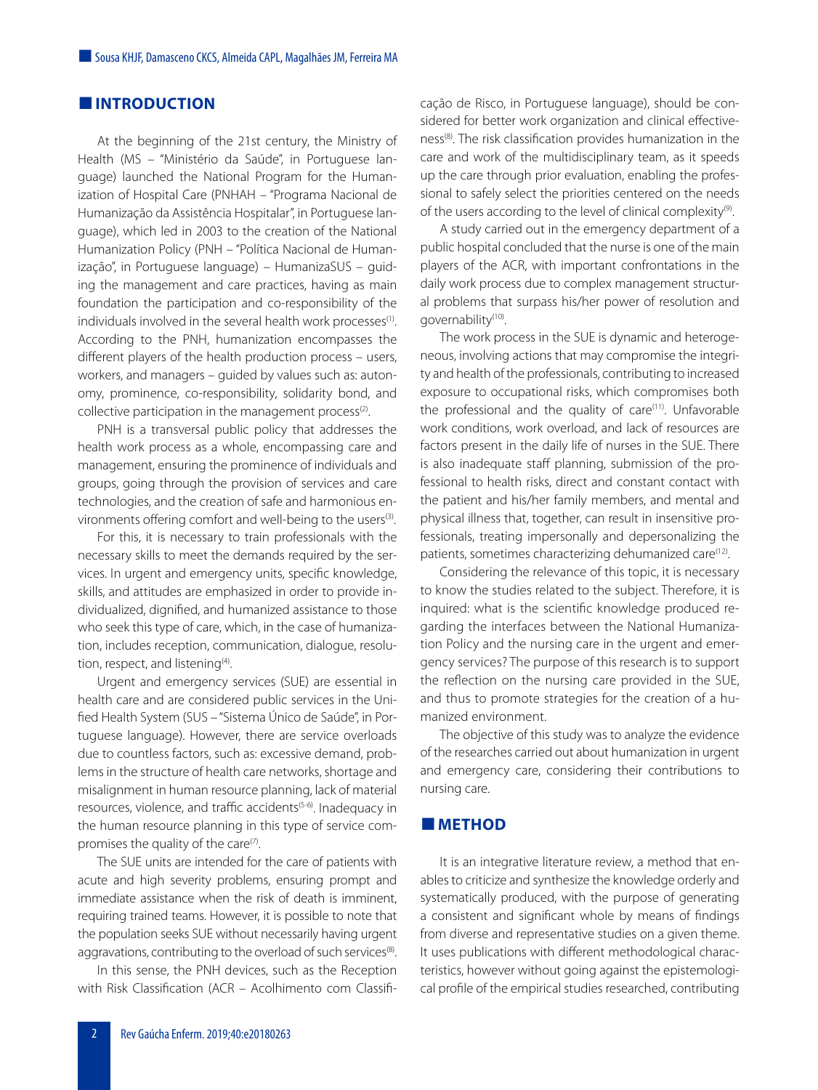# **INTRODUCTION**

At the beginning of the 21st century, the Ministry of Health (MS – "Ministério da Saúde", in Portuguese language) launched the National Program for the Humanization of Hospital Care (PNHAH – "Programa Nacional de Humanização da Assistência Hospitalar", in Portuguese language), which led in 2003 to the creation of the National Humanization Policy (PNH – "Política Nacional de Humanização", in Portuguese language) – HumanizaSUS – guiding the management and care practices, having as main foundation the participation and co-responsibility of the individuals involved in the several health work processes<sup>(1)</sup>. According to the PNH, humanization encompasses the different players of the health production process – users, workers, and managers – guided by values such as: autonomy, prominence, co-responsibility, solidarity bond, and collective participation in the management process<sup>(2)</sup>.

PNH is a transversal public policy that addresses the health work process as a whole, encompassing care and management, ensuring the prominence of individuals and groups, going through the provision of services and care technologies, and the creation of safe and harmonious environments offering comfort and well-being to the users<sup>(3)</sup>.

For this, it is necessary to train professionals with the necessary skills to meet the demands required by the services. In urgent and emergency units, specific knowledge, skills, and attitudes are emphasized in order to provide individualized, dignified, and humanized assistance to those who seek this type of care, which, in the case of humanization, includes reception, communication, dialogue, resolution, respect, and listening<sup>(4)</sup>.

Urgent and emergency services (SUE) are essential in health care and are considered public services in the Unified Health System (SUS – "Sistema Único de Saúde", in Portuguese language). However, there are service overloads due to countless factors, such as: excessive demand, problems in the structure of health care networks, shortage and misalignment in human resource planning, lack of material resources, violence, and traffic accidents<sup>(5-6)</sup>. Inadequacy in the human resource planning in this type of service compromises the quality of the care $(7)$ .

The SUE units are intended for the care of patients with acute and high severity problems, ensuring prompt and immediate assistance when the risk of death is imminent, requiring trained teams. However, it is possible to note that the population seeks SUE without necessarily having urgent aggravations, contributing to the overload of such services<sup>(8)</sup>.

In this sense, the PNH devices, such as the Reception with Risk Classification (ACR – Acolhimento com Classificação de Risco, in Portuguese language), should be considered for better work organization and clinical effectiveness(8). The risk classification provides humanization in the care and work of the multidisciplinary team, as it speeds up the care through prior evaluation, enabling the professional to safely select the priorities centered on the needs of the users according to the level of clinical complexity<sup>(9)</sup>.

A study carried out in the emergency department of a public hospital concluded that the nurse is one of the main players of the ACR, with important confrontations in the daily work process due to complex management structural problems that surpass his/her power of resolution and governability(10).

The work process in the SUE is dynamic and heterogeneous, involving actions that may compromise the integrity and health of the professionals, contributing to increased exposure to occupational risks, which compromises both the professional and the quality of care<sup>(11)</sup>. Unfavorable work conditions, work overload, and lack of resources are factors present in the daily life of nurses in the SUE. There is also inadequate staff planning, submission of the professional to health risks, direct and constant contact with the patient and his/her family members, and mental and physical illness that, together, can result in insensitive professionals, treating impersonally and depersonalizing the patients, sometimes characterizing dehumanized care<sup>(12)</sup>.

Considering the relevance of this topic, it is necessary to know the studies related to the subject. Therefore, it is inquired: what is the scientific knowledge produced regarding the interfaces between the National Humanization Policy and the nursing care in the urgent and emergency services? The purpose of this research is to support the reflection on the nursing care provided in the SUE, and thus to promote strategies for the creation of a humanized environment.

The objective of this study was to analyze the evidence of the researches carried out about humanization in urgent and emergency care, considering their contributions to nursing care.

### **METHOD**

It is an integrative literature review, a method that enables to criticize and synthesize the knowledge orderly and systematically produced, with the purpose of generating a consistent and significant whole by means of findings from diverse and representative studies on a given theme. It uses publications with different methodological characteristics, however without going against the epistemological profile of the empirical studies researched, contributing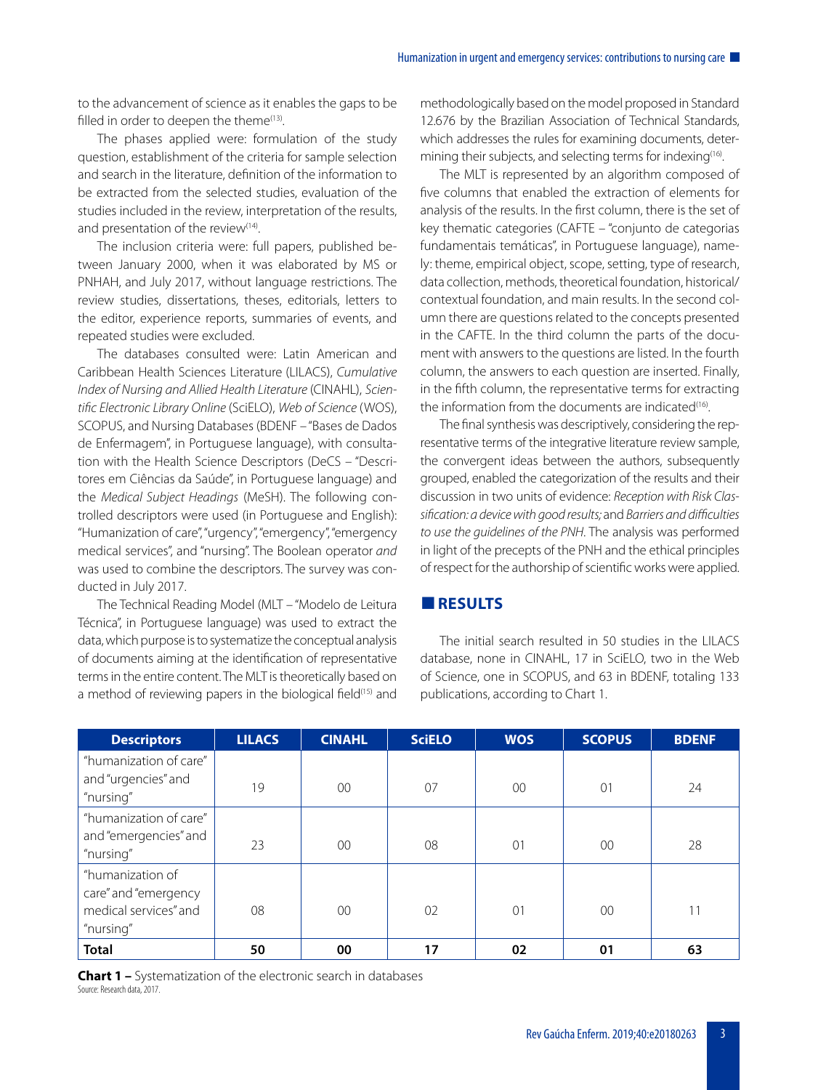to the advancement of science as it enables the gaps to be filled in order to deepen the theme<sup>(13)</sup>.

The phases applied were: formulation of the study question, establishment of the criteria for sample selection and search in the literature, definition of the information to be extracted from the selected studies, evaluation of the studies included in the review, interpretation of the results, and presentation of the review $(14)$ .

The inclusion criteria were: full papers, published between January 2000, when it was elaborated by MS or PNHAH, and July 2017, without language restrictions. The review studies, dissertations, theses, editorials, letters to the editor, experience reports, summaries of events, and repeated studies were excluded.

The databases consulted were: Latin American and Caribbean Health Sciences Literature (LILACS), *Cumulative Index of Nursing and Allied Health Literature* (CINAHL), *Scientific Electronic Library Online* (SciELO), *Web of Science* (WOS), SCOPUS, and Nursing Databases (BDENF – "Bases de Dados de Enfermagem", in Portuguese language), with consultation with the Health Science Descriptors (DeCS – "Descritores em Ciências da Saúde", in Portuguese language) and the *Medical Subject Headings* (MeSH). The following controlled descriptors were used (in Portuguese and English): "Humanization of care", "urgency", "emergency", "emergency medical services", and "nursing". The Boolean operator *and* was used to combine the descriptors. The survey was conducted in July 2017.

The Technical Reading Model (MLT – "Modelo de Leitura Técnica", in Portuguese language) was used to extract the data, which purpose is to systematize the conceptual analysis of documents aiming at the identification of representative terms in the entire content. The MLT is theoretically based on a method of reviewing papers in the biological field<sup>(15)</sup> and methodologically based on the model proposed in Standard 12.676 by the Brazilian Association of Technical Standards, which addresses the rules for examining documents, determining their subjects, and selecting terms for indexing<sup>(16)</sup>.

The MLT is represented by an algorithm composed of five columns that enabled the extraction of elements for analysis of the results. In the first column, there is the set of key thematic categories (CAFTE – "conjunto de categorias fundamentais temáticas", in Portuguese language), namely: theme, empirical object, scope, setting, type of research, data collection, methods, theoretical foundation, historical/ contextual foundation, and main results. In the second column there are questions related to the concepts presented in the CAFTE. In the third column the parts of the document with answers to the questions are listed. In the fourth column, the answers to each question are inserted. Finally, in the fifth column, the representative terms for extracting the information from the documents are indicated<sup>(16)</sup>.

The final synthesis was descriptively, considering the representative terms of the integrative literature review sample, the convergent ideas between the authors, subsequently grouped, enabled the categorization of the results and their discussion in two units of evidence: *Reception with Risk Classification: a device with good results;* and *Barriers and difficulties to use the guidelines of the PNH*. The analysis was performed in light of the precepts of the PNH and the ethical principles of respect for the authorship of scientific works were applied.

### **RESULTS**

The initial search resulted in 50 studies in the LILACS database, none in CINAHL, 17 in SciELO, two in the Web of Science, one in SCOPUS, and 63 in BDENF, totaling 133 publications, according to Chart 1.

| <b>Descriptors</b>                                                             | <b>LILACS</b> | <b>CINAHL</b> | <b>SciELO</b> | <b>WOS</b> | <b>SCOPUS</b> | <b>BDENF</b> |
|--------------------------------------------------------------------------------|---------------|---------------|---------------|------------|---------------|--------------|
| "humanization of care"<br>and "urgencies" and<br>"nursing"                     | 19            | 00            | 07            | 00         | 01            | 24           |
| "humanization of care"<br>and "emergencies" and<br>"nursing"                   | 23            | 00            | 08            | 01         | 00            | 28           |
| "humanization of<br>care" and "emergency<br>medical services" and<br>"nursing" | 08            | 00            | 02            | 01         | 00            |              |
| <b>Total</b>                                                                   | 50            | 00            | 17            | 02         | 01            | 63           |

**Chart 1 –** Systematization of the electronic search in databases Source: Research data, 2017.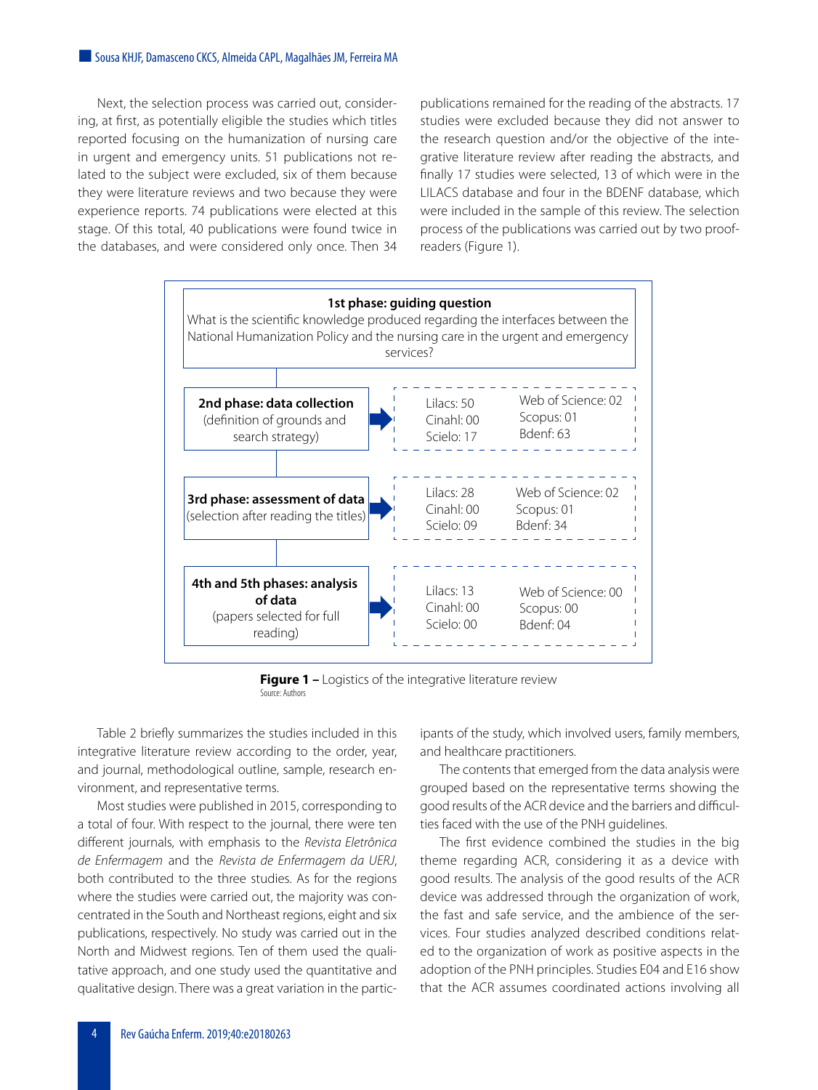Next, the selection process was carried out, considering, at first, as potentially eligible the studies which titles reported focusing on the humanization of nursing care in urgent and emergency units. 51 publications not related to the subject were excluded, six of them because they were literature reviews and two because they were experience reports. 74 publications were elected at this stage. Of this total, 40 publications were found twice in the databases, and were considered only once. Then 34 publications remained for the reading of the abstracts. 17 studies were excluded because they did not answer to the research question and/or the objective of the integrative literature review after reading the abstracts, and finally 17 studies were selected, 13 of which were in the LILACS database and four in the BDENF database, which were included in the sample of this review. The selection process of the publications was carried out by two proofreaders (Figure 1).





Table 2 briefly summarizes the studies included in this integrative literature review according to the order, year, and journal, methodological outline, sample, research environment, and representative terms.

Most studies were published in 2015, corresponding to a total of four. With respect to the journal, there were ten different journals, with emphasis to the *Revista Eletrônica de Enfermagem* and the *Revista de Enfermagem da UERJ*, both contributed to the three studies. As for the regions where the studies were carried out, the majority was concentrated in the South and Northeast regions, eight and six publications, respectively. No study was carried out in the North and Midwest regions. Ten of them used the qualitative approach, and one study used the quantitative and qualitative design. There was a great variation in the participants of the study, which involved users, family members, and healthcare practitioners.

The contents that emerged from the data analysis were grouped based on the representative terms showing the good results of the ACR device and the barriers and difficulties faced with the use of the PNH guidelines.

The first evidence combined the studies in the big theme regarding ACR, considering it as a device with good results. The analysis of the good results of the ACR device was addressed through the organization of work, the fast and safe service, and the ambience of the services. Four studies analyzed described conditions related to the organization of work as positive aspects in the adoption of the PNH principles. Studies E04 and E16 show that the ACR assumes coordinated actions involving all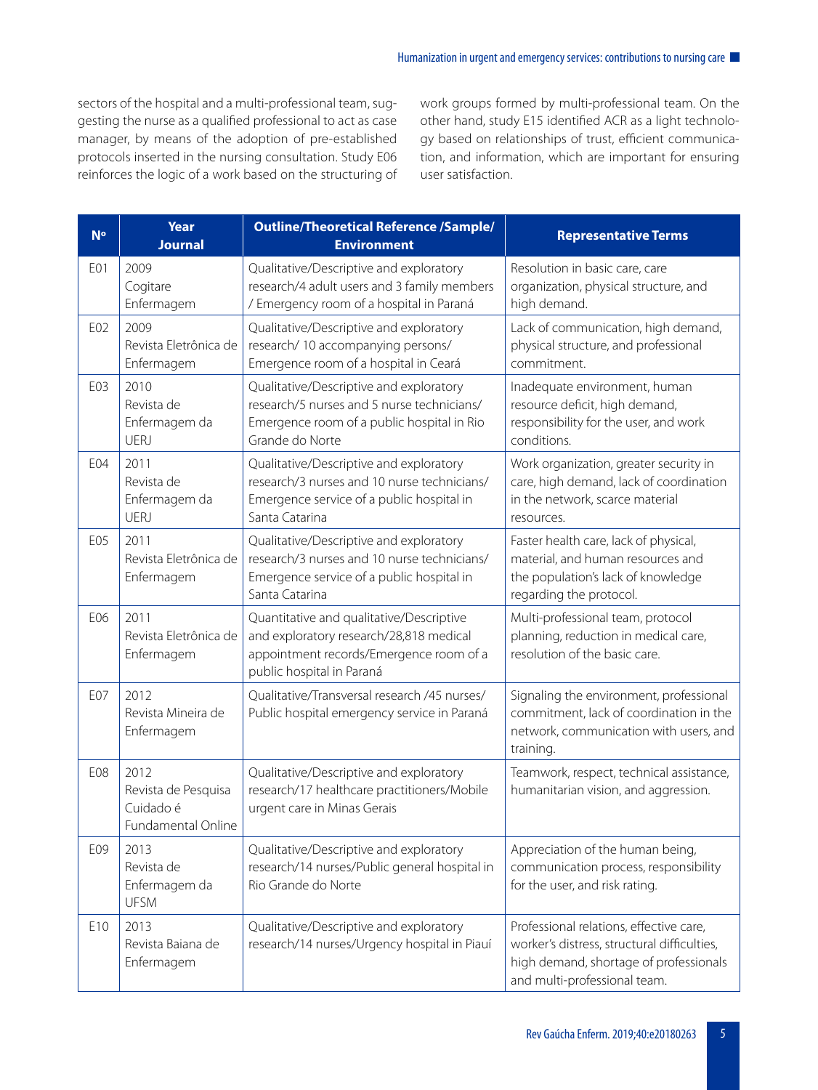sectors of the hospital and a multi-professional team, suggesting the nurse as a qualified professional to act as case manager, by means of the adoption of pre-established protocols inserted in the nursing consultation. Study E06 reinforces the logic of a work based on the structuring of work groups formed by multi-professional team. On the other hand, study E15 identified ACR as a light technology based on relationships of trust, efficient communication, and information, which are important for ensuring user satisfaction.

| <b>N°</b>       | <b>Year</b><br><b>Journal</b>                                  | <b>Outline/Theoretical Reference /Sample/</b><br><b>Environment</b>                                                                                         | <b>Representative Terms</b>                                                                                                                                      |
|-----------------|----------------------------------------------------------------|-------------------------------------------------------------------------------------------------------------------------------------------------------------|------------------------------------------------------------------------------------------------------------------------------------------------------------------|
| E <sub>01</sub> | 2009<br>Cogitare<br>Enfermagem                                 | Qualitative/Descriptive and exploratory<br>research/4 adult users and 3 family members<br>/ Emergency room of a hospital in Paraná                          | Resolution in basic care, care<br>organization, physical structure, and<br>high demand.                                                                          |
| E02             | 2009<br>Revista Eletrônica de<br>Enfermagem                    | Qualitative/Descriptive and exploratory<br>research/10 accompanying persons/<br>Emergence room of a hospital in Ceará                                       | Lack of communication, high demand,<br>physical structure, and professional<br>commitment.                                                                       |
| E <sub>03</sub> | 2010<br>Revista de<br>Enfermagem da<br>UERJ                    | Qualitative/Descriptive and exploratory<br>research/5 nurses and 5 nurse technicians/<br>Emergence room of a public hospital in Rio<br>Grande do Norte      | Inadequate environment, human<br>resource deficit, high demand,<br>responsibility for the user, and work<br>conditions.                                          |
| E04             | 2011<br>Revista de<br>Enfermagem da<br><b>UERJ</b>             | Qualitative/Descriptive and exploratory<br>research/3 nurses and 10 nurse technicians/<br>Emergence service of a public hospital in<br>Santa Catarina       | Work organization, greater security in<br>care, high demand, lack of coordination<br>in the network, scarce material<br>resources.                               |
| E <sub>05</sub> | 2011<br>Revista Eletrônica de<br>Enfermagem                    | Qualitative/Descriptive and exploratory<br>research/3 nurses and 10 nurse technicians/<br>Emergence service of a public hospital in<br>Santa Catarina       | Faster health care, lack of physical,<br>material, and human resources and<br>the population's lack of knowledge<br>regarding the protocol.                      |
| E06             | 2011<br>Revista Eletrônica de<br>Enfermagem                    | Quantitative and qualitative/Descriptive<br>and exploratory research/28,818 medical<br>appointment records/Emergence room of a<br>public hospital in Paraná | Multi-professional team, protocol<br>planning, reduction in medical care,<br>resolution of the basic care.                                                       |
| E07             | 2012<br>Revista Mineira de<br>Enfermagem                       | Qualitative/Transversal research /45 nurses/<br>Public hospital emergency service in Paraná                                                                 | Signaling the environment, professional<br>commitment, lack of coordination in the<br>network, communication with users, and<br>training.                        |
| E08             | 2012<br>Revista de Pesquisa<br>Cuidado é<br>Fundamental Online | Qualitative/Descriptive and exploratory<br>research/17 healthcare practitioners/Mobile<br>urgent care in Minas Gerais                                       | Teamwork, respect, technical assistance,<br>humanitarian vision, and aggression.                                                                                 |
| E09             | 2013<br>Revista de<br>Enfermagem da<br><b>UFSM</b>             | Qualitative/Descriptive and exploratory<br>research/14 nurses/Public general hospital in<br>Rio Grande do Norte                                             | Appreciation of the human being,<br>communication process, responsibility<br>for the user, and risk rating.                                                      |
| E10             | 2013<br>Revista Baiana de<br>Enfermagem                        | Qualitative/Descriptive and exploratory<br>research/14 nurses/Urgency hospital in Piauí                                                                     | Professional relations, effective care,<br>worker's distress, structural difficulties,<br>high demand, shortage of professionals<br>and multi-professional team. |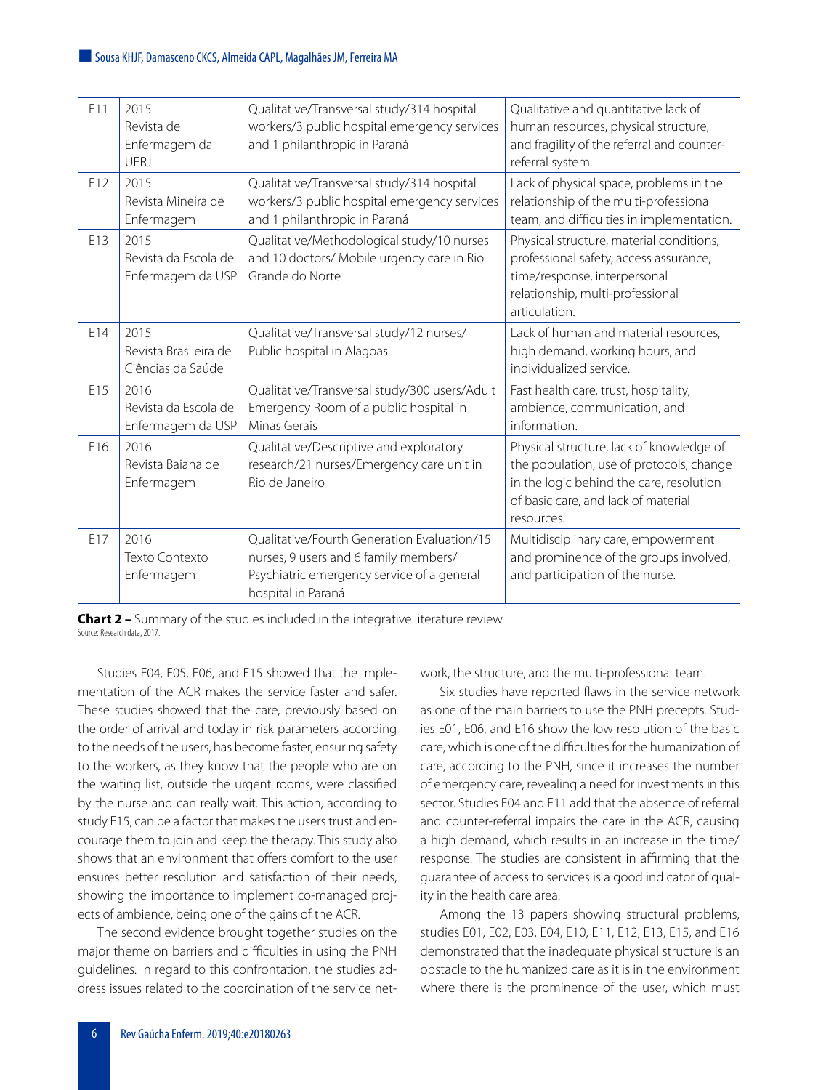| E11 | 2015<br>Revista de<br>Enfermagem da<br><b>UERJ</b> | Qualitative/Transversal study/314 hospital<br>workers/3 public hospital emergency services<br>and 1 philanthropic in Paraná                              | Qualitative and quantitative lack of<br>human resources, physical structure,<br>and fragility of the referral and counter-<br>referral system.                                        |
|-----|----------------------------------------------------|----------------------------------------------------------------------------------------------------------------------------------------------------------|---------------------------------------------------------------------------------------------------------------------------------------------------------------------------------------|
| E12 | 2015<br>Revista Mineira de<br>Enfermagem           | Qualitative/Transversal study/314 hospital<br>workers/3 public hospital emergency services<br>and 1 philanthropic in Paraná                              | Lack of physical space, problems in the<br>relationship of the multi-professional<br>team, and difficulties in implementation.                                                        |
| E13 | 2015<br>Revista da Escola de<br>Enfermagem da USP  | Qualitative/Methodological study/10 nurses<br>and 10 doctors/ Mobile urgency care in Rio<br>Grande do Norte                                              | Physical structure, material conditions,<br>professional safety, access assurance,<br>time/response, interpersonal<br>relationship, multi-professional<br>articulation.               |
| E14 | 2015<br>Revista Brasileira de<br>Ciências da Saúde | Qualitative/Transversal study/12 nurses/<br>Public hospital in Alagoas                                                                                   | Lack of human and material resources,<br>high demand, working hours, and<br>individualized service.                                                                                   |
| E15 | 2016<br>Revista da Escola de<br>Enfermagem da USP  | Qualitative/Transversal study/300 users/Adult<br>Emergency Room of a public hospital in<br>Minas Gerais                                                  | Fast health care, trust, hospitality,<br>ambience, communication, and<br>information.                                                                                                 |
| E16 | 2016<br>Revista Baiana de<br>Enfermagem            | Qualitative/Descriptive and exploratory<br>research/21 nurses/Emergency care unit in<br>Rio de Janeiro                                                   | Physical structure, lack of knowledge of<br>the population, use of protocols, change<br>in the logic behind the care, resolution<br>of basic care, and lack of material<br>resources. |
| E17 | 2016<br>Texto Contexto<br>Enfermagem               | Qualitative/Fourth Generation Evaluation/15<br>nurses, 9 users and 6 family members/<br>Psychiatric emergency service of a general<br>hospital in Paraná | Multidisciplinary care, empowerment<br>and prominence of the groups involved,<br>and participation of the nurse.                                                                      |

**Chart 2 –** Summary of the studies included in the integrative literature review Source: Research data, 2017.

Studies E04, E05, E06, and E15 showed that the implementation of the ACR makes the service faster and safer. These studies showed that the care, previously based on the order of arrival and today in risk parameters according to the needs of the users, has become faster, ensuring safety to the workers, as they know that the people who are on the waiting list, outside the urgent rooms, were classified by the nurse and can really wait. This action, according to study E15, can be a factor that makes the users trust and encourage them to join and keep the therapy. This study also shows that an environment that offers comfort to the user ensures better resolution and satisfaction of their needs, showing the importance to implement co-managed projects of ambience, being one of the gains of the ACR.

The second evidence brought together studies on the major theme on barriers and difficulties in using the PNH guidelines. In regard to this confrontation, the studies address issues related to the coordination of the service network, the structure, and the multi-professional team.

Six studies have reported flaws in the service network as one of the main barriers to use the PNH precepts. Studies E01, E06, and E16 show the low resolution of the basic care, which is one of the difficulties for the humanization of care, according to the PNH, since it increases the number of emergency care, revealing a need for investments in this sector. Studies E04 and E11 add that the absence of referral and counter-referral impairs the care in the ACR, causing a high demand, which results in an increase in the time/ response. The studies are consistent in affirming that the guarantee of access to services is a good indicator of quality in the health care area.

Among the 13 papers showing structural problems, studies E01, E02, E03, E04, E10, E11, E12, E13, E15, and E16 demonstrated that the inadequate physical structure is an obstacle to the humanized care as it is in the environment where there is the prominence of the user, which must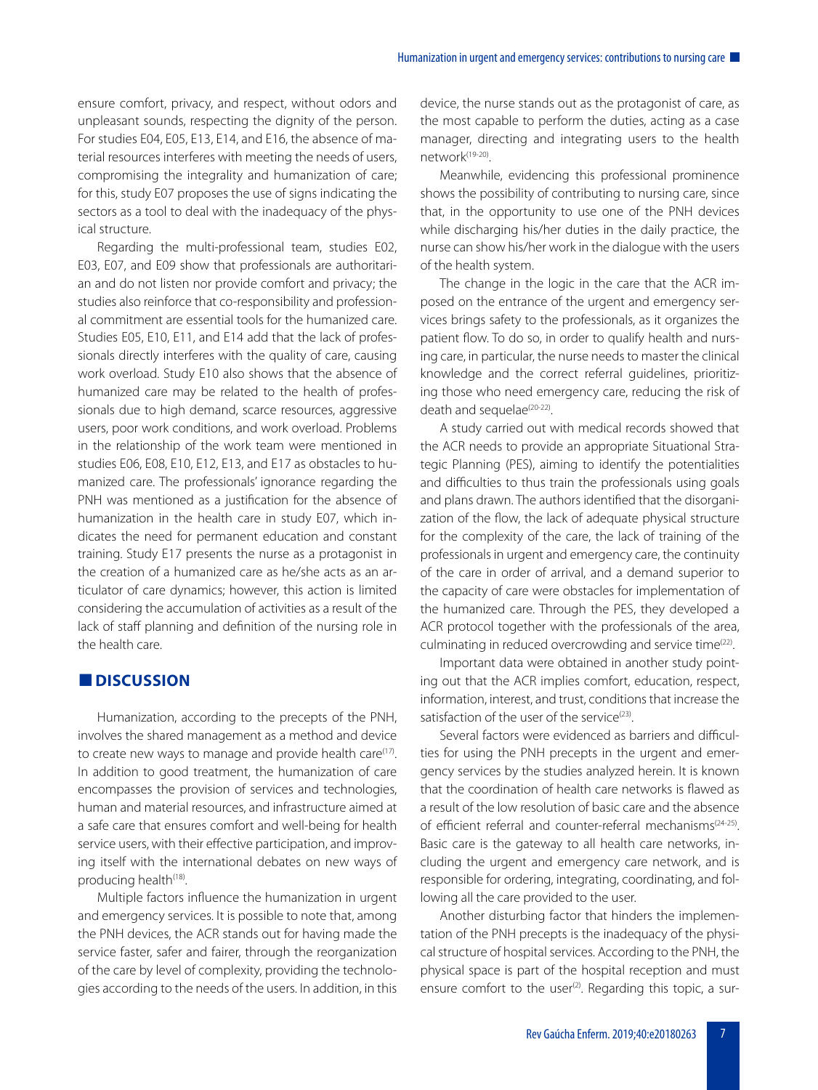ensure comfort, privacy, and respect, without odors and unpleasant sounds, respecting the dignity of the person. For studies E04, E05, E13, E14, and E16, the absence of material resources interferes with meeting the needs of users, compromising the integrality and humanization of care; for this, study E07 proposes the use of signs indicating the sectors as a tool to deal with the inadequacy of the physical structure.

Regarding the multi-professional team, studies E02, E03, E07, and E09 show that professionals are authoritarian and do not listen nor provide comfort and privacy; the studies also reinforce that co-responsibility and professional commitment are essential tools for the humanized care. Studies E05, E10, E11, and E14 add that the lack of professionals directly interferes with the quality of care, causing work overload. Study E10 also shows that the absence of humanized care may be related to the health of professionals due to high demand, scarce resources, aggressive users, poor work conditions, and work overload. Problems in the relationship of the work team were mentioned in studies E06, E08, E10, E12, E13, and E17 as obstacles to humanized care. The professionals' ignorance regarding the PNH was mentioned as a justification for the absence of humanization in the health care in study E07, which indicates the need for permanent education and constant training. Study E17 presents the nurse as a protagonist in the creation of a humanized care as he/she acts as an articulator of care dynamics; however, this action is limited considering the accumulation of activities as a result of the lack of staff planning and definition of the nursing role in the health care.

# **DISCUSSION**

Humanization, according to the precepts of the PNH, involves the shared management as a method and device to create new ways to manage and provide health care<sup>(17)</sup>. In addition to good treatment, the humanization of care encompasses the provision of services and technologies, human and material resources, and infrastructure aimed at a safe care that ensures comfort and well-being for health service users, with their effective participation, and improving itself with the international debates on new ways of producing health<sup>(18)</sup>.

Multiple factors influence the humanization in urgent and emergency services. It is possible to note that, among the PNH devices, the ACR stands out for having made the service faster, safer and fairer, through the reorganization of the care by level of complexity, providing the technologies according to the needs of the users. In addition, in this device, the nurse stands out as the protagonist of care, as the most capable to perform the duties, acting as a case manager, directing and integrating users to the health network(19-20).

Meanwhile, evidencing this professional prominence shows the possibility of contributing to nursing care, since that, in the opportunity to use one of the PNH devices while discharging his/her duties in the daily practice, the nurse can show his/her work in the dialogue with the users of the health system.

The change in the logic in the care that the ACR imposed on the entrance of the urgent and emergency services brings safety to the professionals, as it organizes the patient flow. To do so, in order to qualify health and nursing care, in particular, the nurse needs to master the clinical knowledge and the correct referral guidelines, prioritizing those who need emergency care, reducing the risk of death and sequelae<sup>(20-22)</sup>.

A study carried out with medical records showed that the ACR needs to provide an appropriate Situational Strategic Planning (PES), aiming to identify the potentialities and difficulties to thus train the professionals using goals and plans drawn. The authors identified that the disorganization of the flow, the lack of adequate physical structure for the complexity of the care, the lack of training of the professionals in urgent and emergency care, the continuity of the care in order of arrival, and a demand superior to the capacity of care were obstacles for implementation of the humanized care. Through the PES, they developed a ACR protocol together with the professionals of the area, culminating in reduced overcrowding and service time(22).

Important data were obtained in another study pointing out that the ACR implies comfort, education, respect, information, interest, and trust, conditions that increase the satisfaction of the user of the service $(23)$ .

Several factors were evidenced as barriers and difficulties for using the PNH precepts in the urgent and emergency services by the studies analyzed herein. It is known that the coordination of health care networks is flawed as a result of the low resolution of basic care and the absence of efficient referral and counter-referral mechanisms<sup>(24-25)</sup>. Basic care is the gateway to all health care networks, including the urgent and emergency care network, and is responsible for ordering, integrating, coordinating, and following all the care provided to the user.

Another disturbing factor that hinders the implementation of the PNH precepts is the inadequacy of the physical structure of hospital services. According to the PNH, the physical space is part of the hospital reception and must ensure comfort to the user<sup>(2)</sup>. Regarding this topic, a sur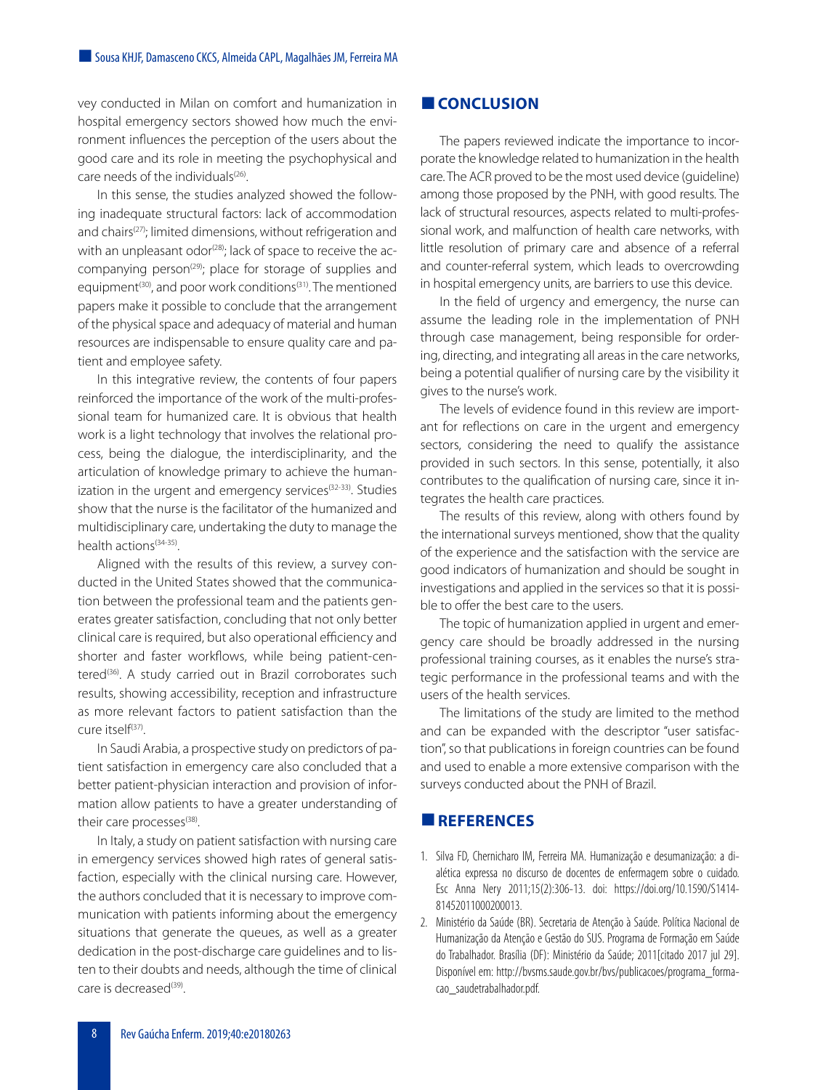vey conducted in Milan on comfort and humanization in hospital emergency sectors showed how much the environment influences the perception of the users about the good care and its role in meeting the psychophysical and care needs of the individuals<sup>(26)</sup>.

In this sense, the studies analyzed showed the following inadequate structural factors: lack of accommodation and chairs<sup>(27)</sup>; limited dimensions, without refrigeration and with an unpleasant odor<sup>(28)</sup>; lack of space to receive the accompanying person<sup>(29)</sup>; place for storage of supplies and equipment<sup>(30)</sup>, and poor work conditions<sup>(31)</sup>. The mentioned papers make it possible to conclude that the arrangement of the physical space and adequacy of material and human resources are indispensable to ensure quality care and patient and employee safety.

In this integrative review, the contents of four papers reinforced the importance of the work of the multi-professional team for humanized care. It is obvious that health work is a light technology that involves the relational process, being the dialogue, the interdisciplinarity, and the articulation of knowledge primary to achieve the humanization in the urgent and emergency services<sup>(32-33)</sup>. Studies show that the nurse is the facilitator of the humanized and multidisciplinary care, undertaking the duty to manage the health actions<sup>(34-35)</sup>.

Aligned with the results of this review, a survey conducted in the United States showed that the communication between the professional team and the patients generates greater satisfaction, concluding that not only better clinical care is required, but also operational efficiency and shorter and faster workflows, while being patient-centered<sup>(36)</sup>. A study carried out in Brazil corroborates such results, showing accessibility, reception and infrastructure as more relevant factors to patient satisfaction than the cure itself<sup>(37)</sup>.

In Saudi Arabia, a prospective study on predictors of patient satisfaction in emergency care also concluded that a better patient-physician interaction and provision of information allow patients to have a greater understanding of their care processes $(38)$ .

In Italy, a study on patient satisfaction with nursing care in emergency services showed high rates of general satisfaction, especially with the clinical nursing care. However, the authors concluded that it is necessary to improve communication with patients informing about the emergency situations that generate the queues, as well as a greater dedication in the post-discharge care guidelines and to listen to their doubts and needs, although the time of clinical care is decreased<sup>(39)</sup>.

## **CONCLUSION**

The papers reviewed indicate the importance to incorporate the knowledge related to humanization in the health care. The ACR proved to be the most used device (guideline) among those proposed by the PNH, with good results. The lack of structural resources, aspects related to multi-professional work, and malfunction of health care networks, with little resolution of primary care and absence of a referral and counter-referral system, which leads to overcrowding in hospital emergency units, are barriers to use this device.

In the field of urgency and emergency, the nurse can assume the leading role in the implementation of PNH through case management, being responsible for ordering, directing, and integrating all areas in the care networks, being a potential qualifier of nursing care by the visibility it gives to the nurse's work.

The levels of evidence found in this review are important for reflections on care in the urgent and emergency sectors, considering the need to qualify the assistance provided in such sectors. In this sense, potentially, it also contributes to the qualification of nursing care, since it integrates the health care practices.

The results of this review, along with others found by the international surveys mentioned, show that the quality of the experience and the satisfaction with the service are good indicators of humanization and should be sought in investigations and applied in the services so that it is possible to offer the best care to the users.

The topic of humanization applied in urgent and emergency care should be broadly addressed in the nursing professional training courses, as it enables the nurse's strategic performance in the professional teams and with the users of the health services.

The limitations of the study are limited to the method and can be expanded with the descriptor "user satisfaction", so that publications in foreign countries can be found and used to enable a more extensive comparison with the surveys conducted about the PNH of Brazil.

### **REFERENCES**

- 1. Silva FD, Chernicharo IM, Ferreira MA. Humanização e desumanização: a dialética expressa no discurso de docentes de enfermagem sobre o cuidado. Esc Anna Nery 2011;15(2):306-13. doi: [https://doi.org/10.1590/S1414-](https://doi.org/10.1590/S1414-81452011000200013) [81452011000200013.](https://doi.org/10.1590/S1414-81452011000200013)
- 2. Ministério da Saúde (BR). Secretaria de Atenção à Saúde. Política Nacional de Humanização da Atenção e Gestão do SUS. Programa de Formação em Saúde do Trabalhador. Brasília (DF): Ministério da Saúde; 2011[citado 2017 jul 29]. Disponível em: [http://bvsms.saude.gov.br/bvs/publicacoes/programa\\_forma](http://bvsms.saude.gov.br/bvs/publicacoes/programa_formacao_saudetrabalhador.pdf)[cao\\_saudetrabalhador.pdf.](http://bvsms.saude.gov.br/bvs/publicacoes/programa_formacao_saudetrabalhador.pdf)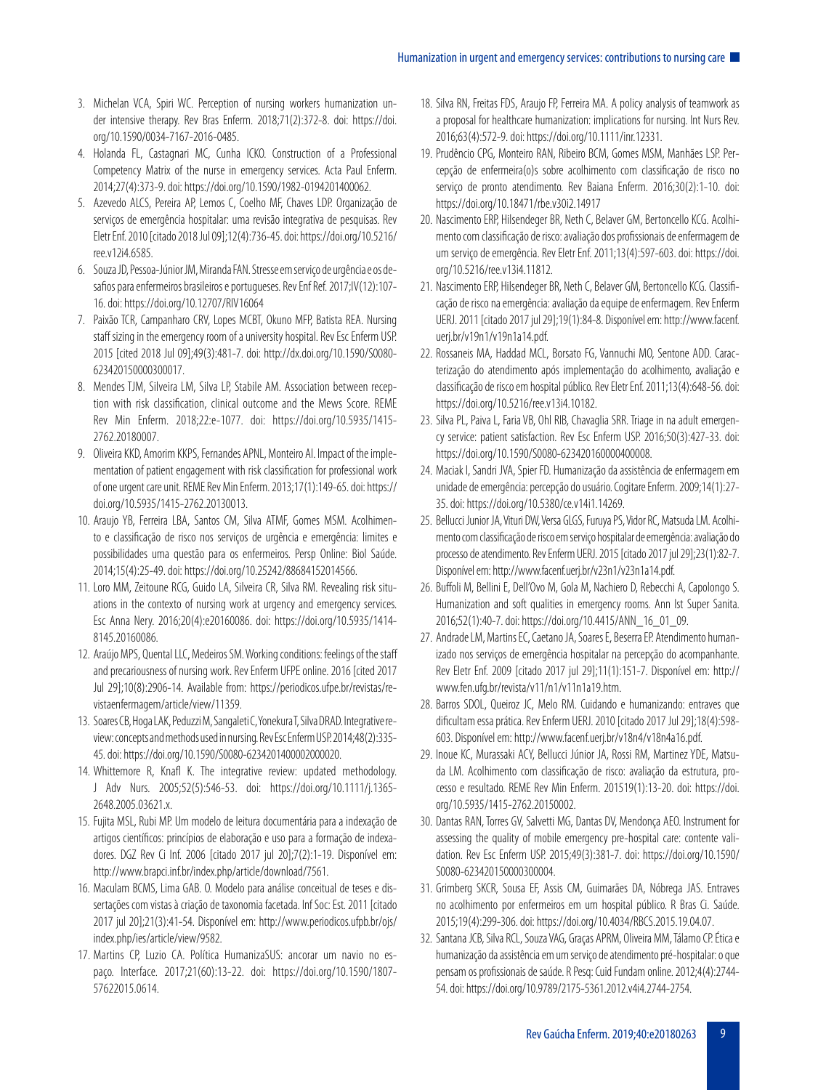- 3. Michelan VCA, Spiri WC. Perception of nursing workers humanization under intensive therapy. Rev Bras Enferm. 2018;71(2):372-8. doi: [https://doi.](https://doi.org/10.1590/0034-7167-2016-0485) [org/10.1590/0034-7167-2016-0485](https://doi.org/10.1590/0034-7167-2016-0485).
- 4. Holanda FL, Castagnari MC, Cunha ICKO. Construction of a Professional Competency Matrix of the nurse in emergency services. Acta Paul Enferm. 2014;27(4):373-9. doi: [https://doi.org/10.1590/1982-0194201400062.](https://doi.org/10.1590/1982-0194201400062)
- 5. Azevedo ALCS, Pereira AP, Lemos C, Coelho MF, Chaves LDP. Organização de serviços de emergência hospitalar: uma revisão integrativa de pesquisas. Rev Eletr Enf. 2010 [citado 2018 Jul 09];12(4):736-45. doi: [https://doi.org/10.5216/](https://doi.org/10.5216/ree.v12i4.6585) [ree.v12i4.6585.](https://doi.org/10.5216/ree.v12i4.6585)
- 6. Souza JD, Pessoa-Júnior JM, Miranda FAN. Stresse em serviço de urgência e os desafios para enfermeiros brasileiros e portugueses. Rev Enf Ref. 2017;IV(12):107-16. doi: <https://doi.org/10.12707/RIV16064>
- 7. Paixão TCR, Campanharo CRV, Lopes MCBT, Okuno MFP, Batista REA. Nursing staff sizing in the emergency room of a university hospital. Rev Esc Enferm USP. 2015 [cited 2018 Jul 09];49(3):481-7. doi: [http://dx.doi.org/10.1590/S0080-](http://dx.doi.org/10.1590/S0080-623420150000300017) [623420150000300017.](http://dx.doi.org/10.1590/S0080-623420150000300017)
- 8. Mendes TJM, Silveira LM, Silva LP, Stabile AM. Association between reception with risk classification, clinical outcome and the Mews Score. REME Rev Min Enferm. 2018;22:e-1077. doi: [https://doi.org/10.5935/1415-](https://doi.org/10.5935/1415-2762.20180007) [2762.20180007](https://doi.org/10.5935/1415-2762.20180007).
- 9. Oliveira KKD, Amorim KKPS, Fernandes APNL, Monteiro AI. Impact of the implementation of patient engagement with risk classification for professional work of one urgent care unit. REME Rev Min Enferm. 2013;17(1):149-65. doi: [https://](https://doi.org/10.5935/1415-2762.20130013) [doi.org/10.5935/1415-2762.20130013.](https://doi.org/10.5935/1415-2762.20130013)
- 10. Araujo YB, Ferreira LBA, Santos CM, Silva ATMF, Gomes MSM. Acolhimento e classificação de risco nos serviços de urgência e emergência: limites e possibilidades uma questão para os enfermeiros. Persp Online: Biol Saúde. 2014;15(4):25-49. doi: [https://doi.org/10.25242/88684152014566.](https://doi.org/10.25242/88684152014566)
- 11. Loro MM, Zeitoune RCG, Guido LA, Silveira CR, Silva RM. Revealing risk situations in the contexto of nursing work at urgency and emergency services. Esc Anna Nery. 2016;20(4):e20160086. doi: [https://doi.org/10.5935/1414-](https://doi.org/10.5935/1414-8145.20160086) [8145.20160086.](https://doi.org/10.5935/1414-8145.20160086)
- 12. Araújo MPS, Quental LLC, Medeiros SM. Working conditions: feelings of the staff and precariousness of nursing work. Rev Enferm UFPE online. 2016 [cited 2017 Jul 29];10(8):2906-14. Available from: [https://periodicos.ufpe.br/revistas/re](https://periodicos.ufpe.br/revistas/revistaenfermagem/article/view/11359)[vistaenfermagem/article/view/11359.](https://periodicos.ufpe.br/revistas/revistaenfermagem/article/view/11359)
- 13. Soares CB, Hoga LAK, Peduzzi M, Sangaleti C, Yonekura T, Silva DRAD. Integrative review: concepts and methods used in nursing. Rev Esc Enferm USP. 2014;48(2):335- 45. doi:<https://doi.org/10.1590/S0080-6234201400002000020>.
- 14. Whittemore R, Knafl K. The integrative review: updated methodology. J Adv Nurs. 2005;52(5):546-53. doi: [https://doi.org/10.1111/j.1365-](https://doi.org/10.1111/j.1365-2648.2005.03621.x) [2648.2005.03621.x.](https://doi.org/10.1111/j.1365-2648.2005.03621.x)
- 15. Fujita MSL, Rubi MP. Um modelo de leitura documentária para a indexação de artigos científicos: princípios de elaboração e uso para a formação de indexadores. DGZ Rev Ci Inf. 2006 [citado 2017 jul 20];7(2):1-19. Disponível em: http://www.brapci.inf.br/index.php/article/download/7561.
- 16. Maculam BCMS, Lima GAB. O. Modelo para análise conceitual de teses e dissertações com vistas à criação de taxonomia facetada. Inf Soc: Est. 2011 [citado 2017 jul 20];21(3):41-54. Disponível em: [http://www.periodicos.ufpb.br/ojs/](http://www.periodicos.ufpb.br/ojs/index.php/ies/article/view/9582) [index.php/ies/article/view/9582](http://www.periodicos.ufpb.br/ojs/index.php/ies/article/view/9582).
- 17. Martins CP, Luzio CA. Política HumanizaSUS: ancorar um navio no espaço. Interface. 2017;21(60):13-22. doi: [https://doi.org/10.1590/1807-](https://doi.org/10.1590/1807-57622015.0614) [57622015.0614](https://doi.org/10.1590/1807-57622015.0614).
- 18. Silva RN, Freitas FDS, Araujo FP, Ferreira MA. A policy analysis of teamwork as a proposal for healthcare humanization: implications for nursing. [Int Nurs Rev.](https://www.ncbi.nlm.nih.gov/pubmed/27892616)  2016;63(4):572-9. doi: [https://doi.org/10.1111/inr.12331.](https://doi.org/10.1111/inr.12331)
- 19. Prudêncio CPG, Monteiro RAN, Ribeiro BCM, Gomes MSM, Manhães LSP. Percepção de enfermeira(o)s sobre acolhimento com classificação de risco no serviço de pronto atendimento. Rev Baiana Enferm. 2016;30(2):1-10. doi: <https://doi.org/10.18471/rbe.v30i2.14917>
- 20. Nascimento ERP, Hilsendeger BR, Neth C, Belaver GM, Bertoncello KCG. Acolhimento com classificação de risco: avaliação dos profissionais de enfermagem de um serviço de emergência. Rev Eletr Enf. 2011;13(4):597-603. doi: [https://doi.](https://doi.org/10.5216/ree.v13i4.11812.) [org/10.5216/ree.v13i4.11812.](https://doi.org/10.5216/ree.v13i4.11812.)
- 21. Nascimento ERP, Hilsendeger BR, Neth C, Belaver GM, Bertoncello KCG. Classificação de risco na emergência: avaliação da equipe de enfermagem. Rev Enferm UERJ. 2011 [citado 2017 jul 29];19(1):84-8. Disponível em: [http://www.facenf.](http://www.facenf.uerj.br/v19n1/v19n1a14.pdf) [uerj.br/v19n1/v19n1a14.pdf.](http://www.facenf.uerj.br/v19n1/v19n1a14.pdf)
- 22. Rossaneis MA, Haddad MCL, Borsato FG, Vannuchi MO, Sentone ADD. Caracterização do atendimento após implementação do acolhimento, avaliação e classificação de risco em hospital público. Rev Eletr Enf. 2011;13(4):648-56. doi: <https://doi.org/10.5216/ree.v13i4.10182>.
- 23. Silva PL, Paiva L, Faria VB, Ohl RIB, Chavaglia SRR. Triage in na adult emergency service: patient satisfaction. Rev Esc Enferm USP. 2016;50(3):427-33. doi: <https://doi.org/10.1590/S0080-623420160000400008>.
- 24. Maciak I, Sandri JVA, Spier FD. Humanização da assistência de enfermagem em unidade de emergência: percepção do usuário. Cogitare Enferm. 2009;14(1):27- 35. doi:<https://doi.org/10.5380/ce.v14i1.14269>.
- 25. Bellucci Junior JA, Vituri DW, Versa GLGS, Furuya PS, Vidor RC, Matsuda LM. Acolhimento com classificação de risco em serviço hospitalar de emergência: avaliação do processo de atendimento. Rev Enferm UERJ. 2015 [citado 2017 jul 29];23(1):82-7. Disponível em:<http://www.facenf.uerj.br/v23n1/v23n1a14.pdf>.
- 26. [Buffoli M,](https://www.ncbi.nlm.nih.gov/pubmed/?term=Buffoli M%5BAuthor%5D&cauthor=true&cauthor_uid=27033617) [Bellini E](https://www.ncbi.nlm.nih.gov/pubmed/?term=Bellini E%5BAuthor%5D&cauthor=true&cauthor_uid=27033617), [Dell'Ovo M,](https://www.ncbi.nlm.nih.gov/pubmed/?term=Dell) [Gola M,](https://www.ncbi.nlm.nih.gov/pubmed/?term=Gola M%5BAuthor%5D&cauthor=true&cauthor_uid=27033617) [Nachiero D,](https://www.ncbi.nlm.nih.gov/pubmed/?term=Nachiero D%5BAuthor%5D&cauthor=true&cauthor_uid=27033617) [Rebecchi A,](https://www.ncbi.nlm.nih.gov/pubmed/?term=Rebecchi A%5BAuthor%5D&cauthor=true&cauthor_uid=27033617) [Capolongo S.](https://www.ncbi.nlm.nih.gov/pubmed/?term=Capolongo S%5BAuthor%5D&cauthor=true&cauthor_uid=27033617) Humanization and soft qualities in emergency rooms. [Ann Ist Super Sanita.](https://www.ncbi.nlm.nih.gov/pubmed/27033617)  2016;52(1):40-7. doi: [https://doi.org/10.4415/ANN\\_16\\_01\\_09](https://doi.org/10.4415/ANN_16_01_09).
- 27. Andrade LM, Martins EC, Caetano JA, Soares E, Beserra EP. Atendimento humanizado nos serviços de emergência hospitalar na percepção do acompanhante. Rev Eletr Enf. 2009 [citado 2017 jul 29];11(1):151-7. Disponível em: [http://](http://www.fen.ufg.br/revista/v11/n1/v11n1a19.htm) [www.fen.ufg.br/revista/v11/n1/v11n1a19.htm.](http://www.fen.ufg.br/revista/v11/n1/v11n1a19.htm)
- 28. Barros SDOL, Queiroz JC, Melo RM. Cuidando e humanizando: entraves que dificultam essa prática. Rev Enferm UERJ. 2010 [citado 2017 Jul 29];18(4):598- 603. Disponível em: [http://www.facenf.uerj.br/v18n4/v18n4a16.pdf.](http://www.facenf.uerj.br/v18n4/v18n4a16.pdf)
- 29. Inoue KC, Murassaki ACY, Bellucci Júnior JA, Rossi RM, Martinez YDE, Matsuda LM. Acolhimento com classificação de risco: avaliação da estrutura, processo e resultado. REME Rev Min Enferm. 201519(1):13-20. doi: [https://doi.](https://doi.org/10.5935/1415-2762.20150002) [org/10.5935/1415-2762.20150002.](https://doi.org/10.5935/1415-2762.20150002)
- 30. Dantas RAN, Torres GV, Salvetti MG, Dantas DV, Mendonça AEO. Instrument for assessing the quality of mobile emergency pre-hospital care: contente validation. Rev Esc Enferm USP. 2015;49(3):381-7. doi: [https://doi.org/10.1590/](https://doi.org/10.1590/S0080-623420150000300004) [S0080-623420150000300004.](https://doi.org/10.1590/S0080-623420150000300004)
- 31. Grimberg SKCR, Sousa EF, Assis CM, Guimarães DA, Nóbrega JAS. Entraves no acolhimento por enfermeiros em um hospital público. R Bras Ci. Saúde. 2015;19(4):299-306. doi: [https://doi.org/10.4034/RBCS.2015.19.04.07.](https://doi.org/10.4034/RBCS.2015.19.04.07)
- 32. Santana JCB, Silva RCL, Souza VAG, Graças APRM, Oliveira MM, Tálamo CP. Ética e humanização da assistência em um serviço de atendimento pré-hospitalar: o que pensam os profissionais de saúde. R Pesq: Cuid Fundam online. 2012;4(4):2744- 54. doi: <https://doi.org/10.9789/2175-5361.2012.v4i4.2744-2754>.